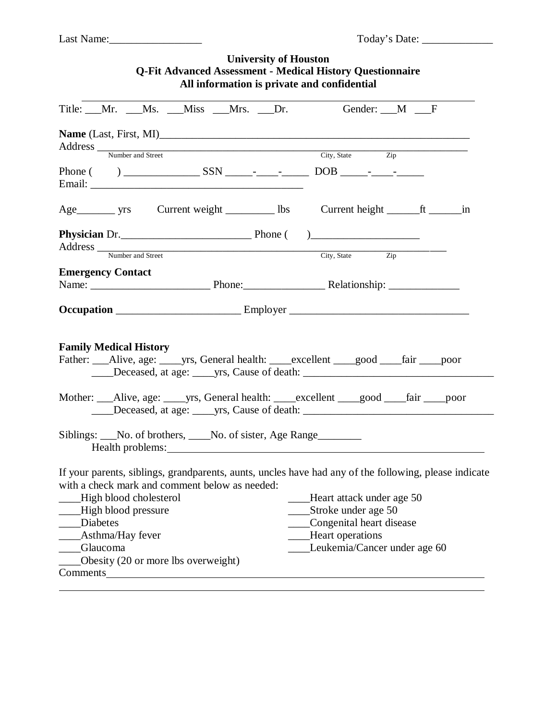| <b>University of Houston</b><br><b>Q-Fit Advanced Assessment - Medical History Questionnaire</b><br>All information is private and confidential                                                                                                                                                           |                                                                                                                                  |  |
|-----------------------------------------------------------------------------------------------------------------------------------------------------------------------------------------------------------------------------------------------------------------------------------------------------------|----------------------------------------------------------------------------------------------------------------------------------|--|
| Title: Mr. Ms. Miss Mrs. Dr. Gender: M F                                                                                                                                                                                                                                                                  |                                                                                                                                  |  |
| Address <u>Number and Street Number and Street Number</u>                                                                                                                                                                                                                                                 | City, State Zip                                                                                                                  |  |
|                                                                                                                                                                                                                                                                                                           |                                                                                                                                  |  |
|                                                                                                                                                                                                                                                                                                           |                                                                                                                                  |  |
| <b>Physician</b> Dr.<br>Address Number and Street City, State City, State Zip                                                                                                                                                                                                                             |                                                                                                                                  |  |
|                                                                                                                                                                                                                                                                                                           |                                                                                                                                  |  |
| <b>Emergency Contact</b>                                                                                                                                                                                                                                                                                  |                                                                                                                                  |  |
|                                                                                                                                                                                                                                                                                                           |                                                                                                                                  |  |
|                                                                                                                                                                                                                                                                                                           |                                                                                                                                  |  |
| <b>Family Medical History</b><br>Father: __Alive, age: _____yrs, General health: ____excellent ____good ____fair ____poor<br>Mother: __Alive, age: ____yrs, General health: ____excellent ___good ___fair ___poor                                                                                         |                                                                                                                                  |  |
| Siblings: No. of brothers, No. of sister, Age Range<br>Health problems:                                                                                                                                                                                                                                   |                                                                                                                                  |  |
| If your parents, siblings, grandparents, aunts, uncles have had any of the following, please indicate<br>with a check mark and comment below as needed:<br>High blood cholesterol<br>High blood pressure<br><b>Diabetes</b><br>Asthma/Hay fever<br><b>Glaucoma</b><br>Obesity (20 or more lbs overweight) | Heart attack under age 50<br>Stroke under age 50<br>Congenital heart disease<br>Heart operations<br>Leukemia/Cancer under age 60 |  |
| Comments                                                                                                                                                                                                                                                                                                  |                                                                                                                                  |  |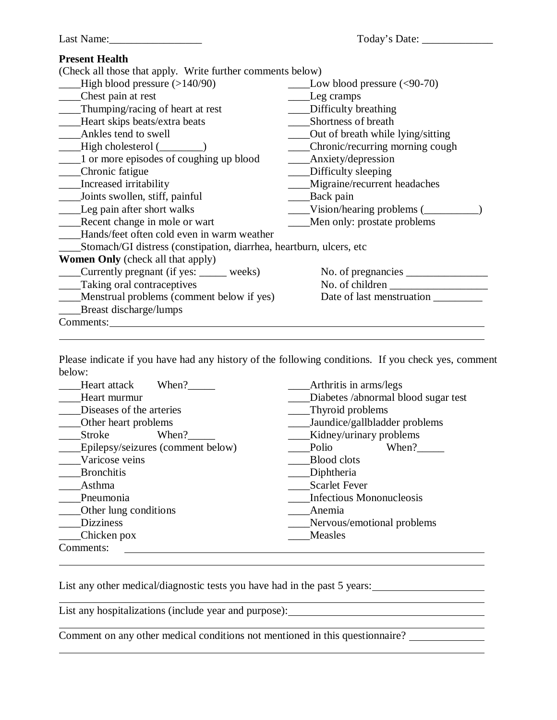| Last Name:                                                           |                                          |
|----------------------------------------------------------------------|------------------------------------------|
| <b>Present Health</b>                                                |                                          |
| (Check all those that apply. Write further comments below)           |                                          |
| High blood pressure $(>140/90)$                                      | $\frac{\text{Low blood pressure}}{0.70}$ |
| ____Chest pain at rest                                               | Leg cramps                               |
| Thumping/racing of heart at rest                                     | _____ Difficulty breathing               |
| - Heart skips beats/extra beats                                      | Shortness of breath                      |
| Ankles tend to swell                                                 | _____Out of breath while lying/sitting   |
| $\qquad$ High cholesterol $(\_\_$                                    | ____Chronic/recurring morning cough      |
| 1 or more episodes of coughing up blood                              | Anxiety/depression                       |
| __Chronic fatigue                                                    | ____Difficulty sleeping                  |
| __Increased irritability                                             | ____Migraine/recurrent headaches         |
| Joints swollen, stiff, painful                                       |                                          |
| Leg pain after short walks                                           | Vision/hearing problems (                |
| _____Recent change in mole or wart                                   | ____Men only: prostate problems          |
| Hands/feet often cold even in warm weather                           |                                          |
| Stomach/GI distress (constipation, diarrhea, heartburn, ulcers, etc. |                                          |
| <b>Women Only</b> (check all that apply)                             |                                          |
| Currently pregnant (if yes: _____ weeks)                             |                                          |
| Taking oral contraceptives                                           |                                          |
| Menstrual problems (comment below if yes)                            |                                          |
| Breast discharge/lumps                                               |                                          |
| Comments:                                                            |                                          |
|                                                                      |                                          |

Please indicate if you have had any history of the following conditions. If you check yes, comment below:

| Heart attack<br>When?             | Arthritis in arms/legs              |
|-----------------------------------|-------------------------------------|
| Heart murmur                      | Diabetes /abnormal blood sugar test |
| Diseases of the arteries          | Thyroid problems                    |
| Other heart problems              | Jaundice/gallbladder problems       |
| <b>Stroke</b><br>When?            | Kidney/urinary problems             |
| Epilepsy/seizures (comment below) | When?<br>Polio                      |
| Varicose veins                    | <b>Blood</b> clots                  |
| <b>Bronchitis</b>                 | Diphtheria                          |
| Asthma                            | <b>Scarlet Fever</b>                |
| Pneumonia                         | <b>Infectious Mononucleosis</b>     |
| Other lung conditions             | Anemia                              |
| <b>Dizziness</b>                  | Nervous/emotional problems          |
| Chicken pox                       | Measles                             |
| Comments:                         |                                     |
|                                   |                                     |

List any other medical/diagnostic tests you have had in the past 5 years:

List any hospitalizations (include year and purpose):

Comment on any other medical conditions not mentioned in this questionnaire?